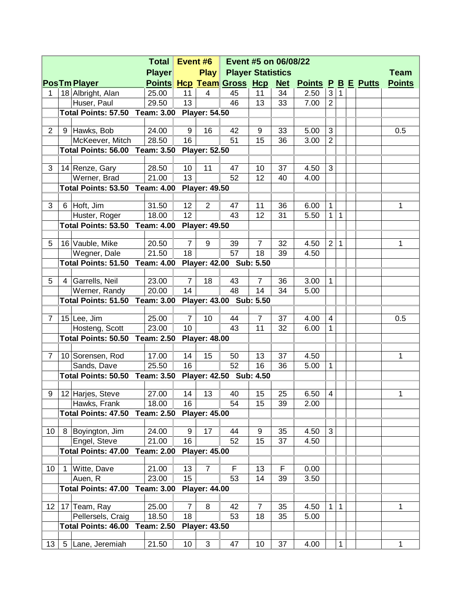| <b>Total</b>    |    |                                                                  |                                  |                | Event #6<br>Event #5 on 06/08/22 |                                  |                |            |                           |                |              |             |  |               |
|-----------------|----|------------------------------------------------------------------|----------------------------------|----------------|----------------------------------|----------------------------------|----------------|------------|---------------------------|----------------|--------------|-------------|--|---------------|
|                 |    |                                                                  | <b>Player Statistics</b><br>Play |                |                                  |                                  |                |            |                           |                |              | <b>Team</b> |  |               |
|                 |    | <b>PosTm Player</b>                                              |                                  |                |                                  | <b>Points Hcp Team Gross Hcp</b> |                | <u>Net</u> | <b>Points P B E Putts</b> |                |              |             |  | <b>Points</b> |
| 1               |    | 18 Albright, Alan                                                | 25.00                            | 11             | 4                                | 45                               | 11             | 34         | 2.50                      | 3              | 1            |             |  |               |
|                 |    | Huser, Paul                                                      | 29.50                            | 13             |                                  | 46                               | 13             | 33         | 7.00                      | $\overline{2}$ |              |             |  |               |
|                 |    | <b>Total Points: 57.50 Team: 3.00</b>                            |                                  |                | <b>Player: 54.50</b>             |                                  |                |            |                           |                |              |             |  |               |
|                 |    |                                                                  |                                  |                |                                  |                                  |                |            |                           |                |              |             |  |               |
| $\overline{2}$  |    | 9 Hawks, Bob                                                     | 24.00                            | 9              | 16                               | 42                               | 9              | 33         | 5.00                      | 3              |              |             |  | 0.5           |
|                 |    | McKeever, Mitch<br>Total Points: 56.00 Team: 3.50                | 28.50                            | 16             | <b>Player: 52.50</b>             | 51                               | 15             | 36         | 3.00                      | $\overline{2}$ |              |             |  |               |
|                 |    |                                                                  |                                  |                |                                  |                                  |                |            |                           |                |              |             |  |               |
| 3               |    | 14 Renze, Gary                                                   | 28.50                            | 10             | 11                               | 47                               | 10             | 37         | 4.50                      | 3              |              |             |  |               |
|                 |    | Werner, Brad                                                     | 21.00                            | 13             |                                  | 52                               | 12             | 40         | 4.00                      |                |              |             |  |               |
|                 |    | <b>Total Points: 53.50 Team: 4.00</b>                            |                                  |                | <b>Player: 49.50</b>             |                                  |                |            |                           |                |              |             |  |               |
|                 |    |                                                                  |                                  |                |                                  |                                  |                |            |                           |                |              |             |  |               |
| 3               |    | 6 Hoft, Jim                                                      | 31.50                            | 12             | $\overline{2}$                   | 47                               | 11             | 36         | 6.00                      | 1              |              |             |  | 1             |
|                 |    | Huster, Roger                                                    | 18.00                            | 12             |                                  | 43                               | 12             | 31         | 5.50                      | $\mathbf{1}$   | $\mathbf{1}$ |             |  |               |
|                 |    | Total Points: 53.50<br><b>Team: 4.00</b><br><b>Player: 49.50</b> |                                  |                |                                  |                                  |                |            |                           |                |              |             |  |               |
| 5               |    | 16 Vauble, Mike                                                  | 20.50                            | $\overline{7}$ | 9                                | 39                               | $\overline{7}$ | 32         | 4.50                      | $\overline{2}$ | $\mathbf{1}$ |             |  | 1             |
|                 |    | Wegner, Dale                                                     | 21.50                            | 18             |                                  | 57                               | 18             | 39         | 4.50                      |                |              |             |  |               |
|                 |    | Total Points: 51.50                                              |                                  |                |                                  |                                  |                |            |                           |                |              |             |  |               |
|                 |    | Player: 42.00 Sub: 5.50<br><b>Team: 4.00</b>                     |                                  |                |                                  |                                  |                |            |                           |                |              |             |  |               |
| 5               | 4  | Garrells, Neil                                                   | 23.00                            | $\overline{7}$ | 18                               | 43                               | $\overline{7}$ | 36         | 3.00                      | $\mathbf{1}$   |              |             |  |               |
|                 |    | Werner, Randy                                                    | 20.00                            | 14             |                                  | 48                               | 14             | 34         | 5.00                      |                |              |             |  |               |
|                 |    | Total Points: 51.50                                              | <b>Team: 3.00</b>                |                |                                  | Player: 43.00 Sub: 5.50          |                |            |                           |                |              |             |  |               |
|                 |    |                                                                  |                                  |                |                                  |                                  |                |            |                           |                |              |             |  |               |
| $\overline{7}$  |    | 15 Lee, Jim                                                      | 25.00                            | $\overline{7}$ | 10                               | 44                               | $\overline{7}$ | 37         | 4.00                      | $\overline{4}$ |              |             |  | 0.5           |
|                 |    | Hosteng, Scott                                                   | 23.00                            | 10             |                                  | 43                               | 11             | 32         | 6.00                      | 1              |              |             |  |               |
|                 |    | <b>Total Points: 50.50</b>                                       | <b>Team: 2.50</b>                |                | <b>Player: 48.00</b>             |                                  |                |            |                           |                |              |             |  |               |
| 7               |    | 10 Sorensen, Rod                                                 | 17.00                            | 14             | 15                               | 50                               | 13             | 37         | 4.50                      |                |              |             |  | 1             |
|                 |    | Sands, Dave                                                      | 25.50                            | 16             |                                  | 52                               | 16             | 36         | 5.00                      | 1              |              |             |  |               |
|                 |    | <b>Total Points: 50.50 Team: 3.50</b>                            |                                  |                | Player: 42.50 Sub: 4.50          |                                  |                |            |                           |                |              |             |  |               |
|                 |    |                                                                  |                                  |                |                                  |                                  |                |            |                           |                |              |             |  |               |
| 9               |    | 12 Harjes, Steve                                                 | 27.00                            | 14             | 13                               | 40                               | 15             | 25         | 6.50                      | 4              |              |             |  | 1             |
|                 |    | Hawks, Frank                                                     | 18.00                            | 16             |                                  | 54                               | 15             | 39         | 2.00                      |                |              |             |  |               |
|                 |    | Total Points: 47.50                                              | <b>Team: 2.50</b>                |                | <b>Player: 45.00</b>             |                                  |                |            |                           |                |              |             |  |               |
|                 |    |                                                                  | 24.00                            |                |                                  |                                  |                |            |                           |                |              |             |  |               |
| 10              | 8  | Boyington, Jim                                                   | 21.00                            | 9<br>16        | 17                               | 44<br>52                         | 9<br>15        | 35<br>37   | 4.50<br>4.50              | 3              |              |             |  |               |
|                 |    | Engel, Steve<br><b>Total Points: 47.00</b>                       | <b>Team: 2.00</b>                |                | <b>Player: 45.00</b>             |                                  |                |            |                           |                |              |             |  |               |
|                 |    |                                                                  |                                  |                |                                  |                                  |                |            |                           |                |              |             |  |               |
| 10 <sup>°</sup> | -1 | Witte, Dave                                                      | 21.00                            | 13             | $\overline{7}$                   | F                                | 13             | F          | 0.00                      |                |              |             |  |               |
|                 |    | Auen, R                                                          | 23.00                            | 15             |                                  | 53                               | 14             | 39         | 3.50                      |                |              |             |  |               |
|                 |    | <b>Total Points: 47.00</b>                                       | <b>Team: 3.00</b>                |                | <b>Player: 44.00</b>             |                                  |                |            |                           |                |              |             |  |               |
|                 |    |                                                                  |                                  |                |                                  |                                  |                |            |                           |                |              |             |  |               |
| 12              |    | 17 Team, Ray                                                     | 25.00                            | $\overline{7}$ | 8                                | 42                               | $\overline{7}$ | 35         | 4.50                      | 1              | $\mathbf{1}$ |             |  | 1             |
|                 |    | Pellersels, Craig                                                | 18.50                            | 18             |                                  | 53                               | 18             | 35         | 5.00                      |                |              |             |  |               |
|                 |    | <b>Total Points: 46.00</b>                                       | <b>Team: 2.50</b>                |                | <b>Player: 43.50</b>             |                                  |                |            |                           |                |              |             |  |               |
| 13              | 5  |                                                                  | 21.50                            | 10             | 3                                | 47                               | 10             | 37         | 4.00                      |                | 1            |             |  | 1             |
|                 |    | Lane, Jeremiah                                                   |                                  |                |                                  |                                  |                |            |                           |                |              |             |  |               |